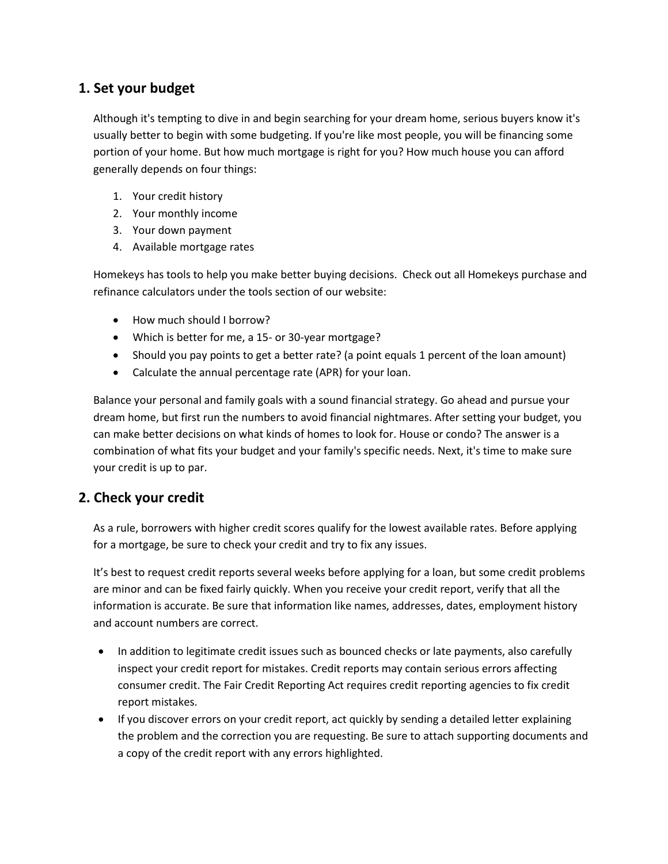# **1. Set your budget**

Although it's tempting to dive in and begin searching for your dream home, serious buyers know it's usually better to begin with some budgeting. If you're like most people, you will be financing some portion of your home. But how much mortgage is right for you? How much house you can afford generally depends on four things:

- 1. Your credit history
- 2. Your monthly income
- 3. Your down payment
- 4. [Available mortgage rates](http://www.homekeys.com/MortgageApp/)

Homekeys has tools to help you make better buying decisions. Check out all Homekeys purchase and refinance calculators under the tools section of our website:

- How much should I borrow?
- Which is better for me, a 15- or 30-year mortgage?
- Should you pay points to get a better rate? (a point equals 1 percent of the loan amount)
- Calculate the annual percentage rate (APR) for your loan.

Balance your personal and family goals with a sound financial strategy. Go ahead and pursue your dream home, but first run the numbers to avoid financial nightmares. After setting your budget, you can make better decisions on what kinds of homes to look for. House or condo? The answer is a combination of what fits your budget and your family's specific needs. Next, it's time to make sure your credit is up to par.

## **2. Check your credit**

As a rule, borrowers with higher credit scores qualify for the lowest available rates. Before applying for a mortgage, be sure to check your credit and try to fix any issues.

It's best to request credit reports several weeks before applying for a loan, but some credit problems are minor and can be fixed fairly quickly. When you receive your credit report, verify that all the information is accurate. Be sure that information like names, addresses, dates, employment history and account numbers are correct.

- In addition to legitimate credit issues such as bounced checks or late payments, also carefully inspect your credit report for mistakes. Credit reports may contain serious errors affecting consumer credit. The Fair Credit Reporting Act requires credit reporting agencies to fix credit report mistakes.
- If you discover errors on your credit report, act quickly by sending a detailed letter explaining the problem and the correction you are requesting. Be sure to attach supporting documents and a copy of the credit report with any errors highlighted.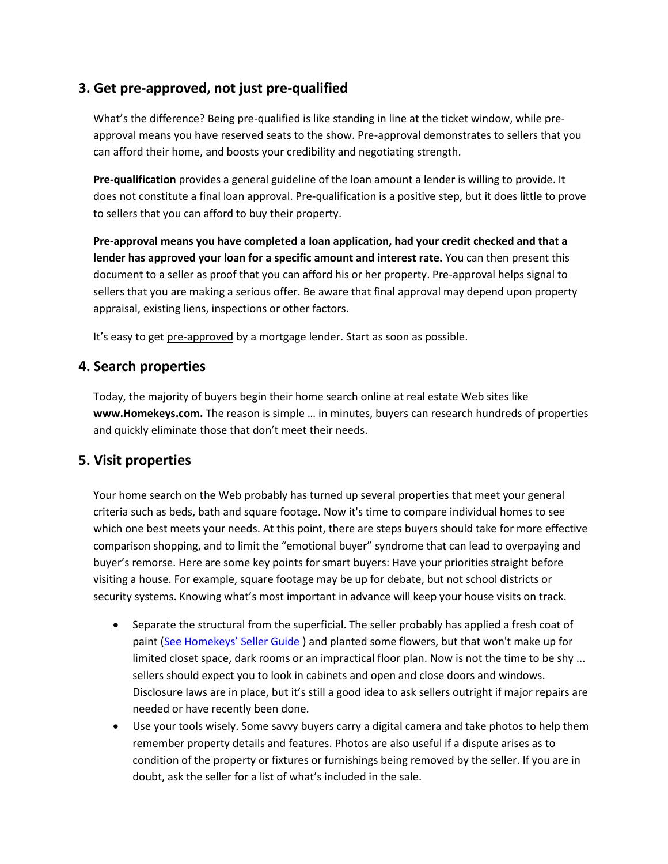# **3. Get pre-approved, not just pre-qualified**

What's the difference? Being pre-qualified is like standing in line at the ticket window, while preapproval means you have reserved seats to the show. Pre-approval demonstrates to sellers that you can afford their home, and boosts your credibility and negotiating strength.

**Pre-qualification** provides a general guideline of the loan amount a lender is willing to provide. It does not constitute a final loan approval. Pre-qualification is a positive step, but it does little to prove to sellers that you can afford to buy their property.

**Pre-approval means you have completed a loan application, had your credit checked and that a lender has approved your loan for a specific amount and interest rate.** You can then present this document to a seller as proof that you can afford his or her property. Pre-approval helps signal to sellers that you are making a serious offer. Be aware that final approval may depend upon property appraisal, existing liens, inspections or other factors.

It's easy to get [pre-approved](http://www.homekeys.com/MortgageApp/) by a mortgage lender. Start as soon as possible.

## **4. Search properties**

Today, the majority of buyers begin their home search online at real estate Web sites like **www.Homekeys.com.** The reason is simple … in minutes, buyers can research hundreds of properties and quickly eliminate those that don't meet their needs.

## **5. Visit properties**

Your home search on the Web probably has turned up several properties that meet your general criteria such as beds, bath and square footage. Now it's time to compare individual homes to see which one best meets your needs. At this point, there are steps buyers should take for more effective comparison shopping, and to limit the "emotional buyer" syndrome that can lead to overpaying and buyer's remorse. Here are some key points for smart buyers: Have your priorities straight before visiting a house. For example, square footage may be up for debate, but not school districts or security systems. Knowing what's most important in advance will keep your house visits on track.

- Separate the structural from the superficial. The seller probably has applied a fresh coat of paint ([See Homekeys' Seller Guide](http://www.homekeys.com/SellerGuide/) ) and planted some flowers, but that won't make up for limited closet space, dark rooms or an impractical floor plan. Now is not the time to be shy ... sellers should expect you to look in cabinets and open and close doors and windows. Disclosure laws are in place, but it's still a good idea to ask sellers outright if major repairs are needed or have recently been done.
- Use your tools wisely. Some savvy buyers carry a digital camera and take photos to help them remember property details and features. Photos are also useful if a dispute arises as to condition of the property or fixtures or furnishings being removed by the seller. If you are in doubt, ask the seller for a list of what's included in the sale.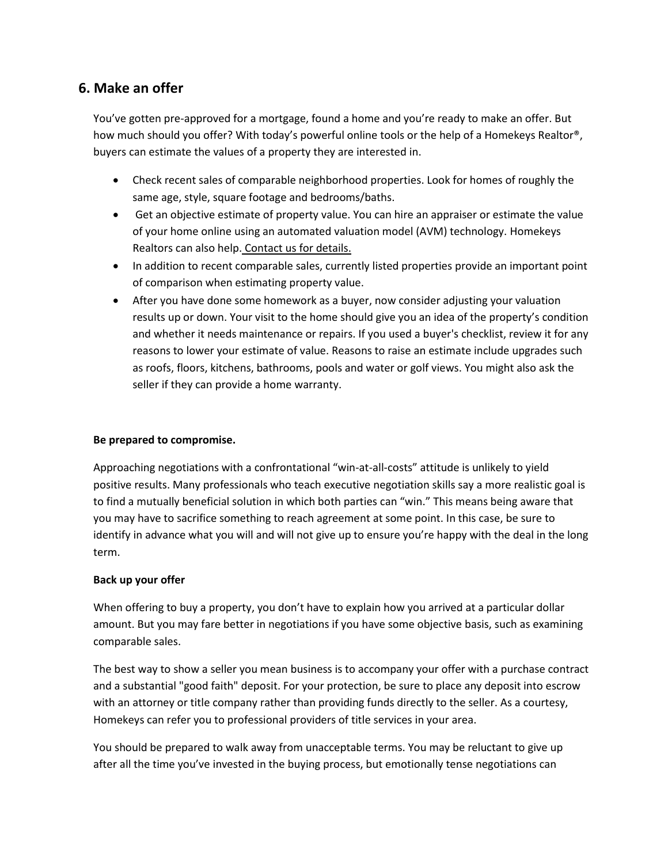# **6. Make an offer**

You've gotten pre-approved for a mortgage, found a home and you're ready to make an offer. But how much should you offer? With today's powerful online tools or the help of a Homekeys Realtor®, buyers can estimate the values of a property they are interested in.

- Check recent sales of comparable neighborhood properties. Look for homes of roughly the same age, style, square footage and bedrooms/baths.
- Get an objective estimate of property value. You can hire an appraiser or estimate the value of your home online using an automated valuation model (AVM) technology. Homekeys Realtors can also help. Contact us for details.
- In addition to recent comparable sales, currently listed properties provide an important point of comparison when estimating property value.
- After you have done some homework as a buyer, now consider adjusting your valuation results up or down. Your visit to the home should give you an idea of the property's condition and whether it needs maintenance or repairs. If you used a buyer's checklist, review it for any reasons to lower your estimate of value. Reasons to raise an estimate include upgrades such as roofs, floors, kitchens, bathrooms, pools and water or golf views. You might also ask the seller if they can provide a home warranty.

#### **Be prepared to compromise.**

Approaching negotiations with a confrontational "win-at-all-costs" attitude is unlikely to yield positive results. Many professionals who teach executive negotiation skills say a more realistic goal is to find a mutually beneficial solution in which both parties can "win." This means being aware that you may have to sacrifice something to reach agreement at some point. In this case, be sure to identify in advance what you will and will not give up to ensure you're happy with the deal in the long term.

#### **Back up your offer**

When offering to buy a property, you don't have to explain how you arrived at a particular dollar amount. But you may fare better in negotiations if you have some objective basis, such as examining comparable sales.

The best way to show a seller you mean business is to accompany your offer with a purchase contract and a substantial "good faith" deposit. For your protection, be sure to place any deposit into escrow with an attorney or title company rather than providing funds directly to the seller. As a courtesy, Homekeys can refer you to professional providers of title services in your area.

You should be prepared to walk away from unacceptable terms. You may be reluctant to give up after all the time you've invested in the buying process, but emotionally tense negotiations can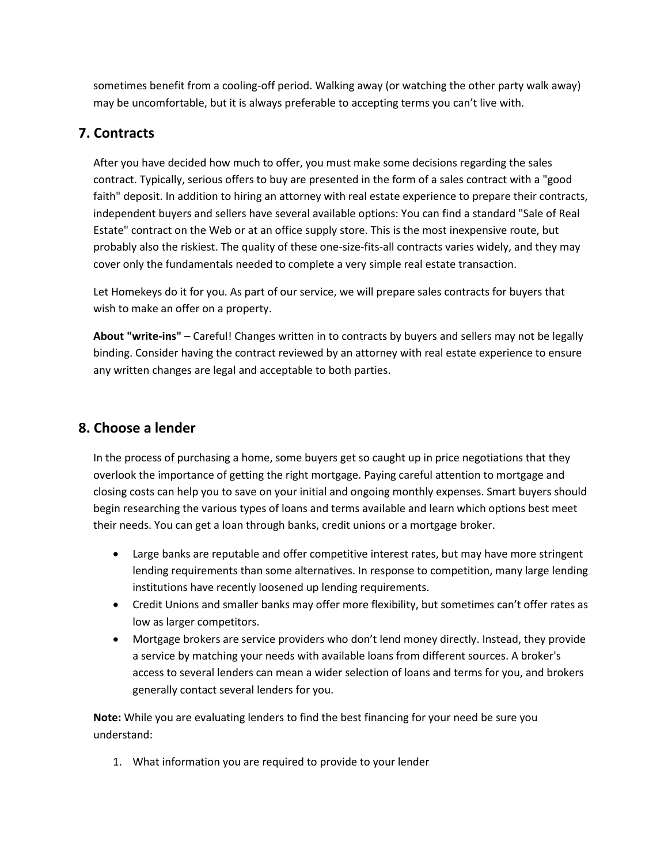sometimes benefit from a cooling-off period. Walking away (or watching the other party walk away) may be uncomfortable, but it is always preferable to accepting terms you can't live with.

# **7. Contracts**

After you have decided how much to offer, you must make some decisions regarding the sales contract. Typically, serious offers to buy are presented in the form of a sales contract with a "good faith" deposit. In addition to hiring an attorney with real estate experience to prepare their contracts, independent buyers and sellers have several available options: You can find a standard "Sale of Real Estate" contract on the Web or at an office supply store. This is the most inexpensive route, but probably also the riskiest. The quality of these one-size-fits-all contracts varies widely, and they may cover only the fundamentals needed to complete a very simple real estate transaction.

Let Homekeys do it for you. As part of our service, we will prepare sales contracts for buyers that wish to make an offer on a property.

**About "write-ins"** – Careful! Changes written in to contracts by buyers and sellers may not be legally binding. Consider having the contract reviewed by an attorney with real estate experience to ensure any written changes are legal and acceptable to both parties.

# **8. Choose a lender**

In the process of purchasing a home, some buyers get so caught up in price negotiations that they overlook the importance of getting the right mortgage. Paying careful attention to mortgage and closing costs can help you to save on your initial and ongoing monthly expenses. Smart buyers should begin researching the various types of loans and terms available and learn which options best meet their needs. You can get a loan through banks, credit unions or a mortgage broker.

- Large banks are reputable and offer competitive interest rates, but may have more stringent lending requirements than some alternatives. In response to competition, many large lending institutions have recently loosened up lending requirements.
- Credit Unions and smaller banks may offer more flexibility, but sometimes can't offer rates as low as larger competitors.
- Mortgage brokers are service providers who don't lend money directly. Instead, they provide a service by matching your needs with available loans from different sources. A broker's access to several lenders can mean a wider selection of loans and terms for you, and brokers generally contact several lenders for you.

**Note:** While you are evaluating lenders to find the best financing for your need be sure you understand:

1. What information you are required to provide to your lender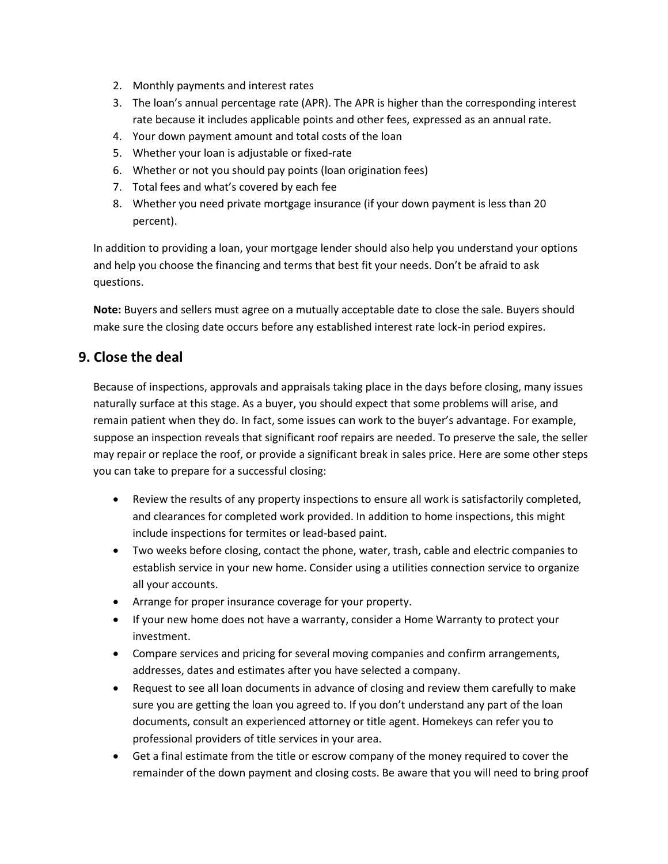- 2. Monthly payments and interest rates
- 3. The loan's annual percentage rate (APR). The APR is higher than the corresponding interest rate because it includes applicable points and other fees, expressed as an annual rate.
- 4. Your down payment amount and total costs of the loan
- 5. Whether your loan is adjustable or fixed-rate
- 6. Whether or not you should pay points (loan origination fees)
- 7. Total fees and what's covered by each fee
- 8. Whether you need private mortgage insurance (if your down payment is less than 20 percent).

In addition to providing a loan, your mortgage lender should also help you understand your options and help you choose the financing and terms that best fit your needs. Don't be afraid to ask questions.

**Note:** Buyers and sellers must agree on a mutually acceptable date to close the sale. Buyers should make sure the closing date occurs before any established interest rate lock-in period expires.

## **9. Close the deal**

Because of inspections, approvals and appraisals taking place in the days before closing, many issues naturally surface at this stage. As a buyer, you should expect that some problems will arise, and remain patient when they do. In fact, some issues can work to the buyer's advantage. For example, suppose an inspection reveals that significant roof repairs are needed. To preserve the sale, the seller may repair or replace the roof, or provide a significant break in sales price. Here are some other steps you can take to prepare for a successful closing:

- Review the results of any property inspections to ensure all work is satisfactorily completed, and clearances for completed work provided. In addition to home inspections, this might include inspections for termites or lead-based paint.
- Two weeks before closing, contact the phone, water, trash, cable and electric companies to establish service in your new home. Consider using a utilities connection service to organize all your accounts.
- Arrange for proper insurance coverage for your property.
- If your new home does not have a warranty, consider a Home Warranty to protect your investment.
- Compare services and pricing for several moving companies and confirm arrangements, addresses, dates and estimates after you have selected a company.
- Request to see all loan documents in advance of closing and review them carefully to make sure you are getting the loan you agreed to. If you don't understand any part of the loan documents, consult an experienced attorney or title agent. Homekeys can refer you to professional providers of title services in your area.
- Get a final estimate from the title or escrow company of the money required to cover the remainder of the down payment and closing costs. Be aware that you will need to bring proof